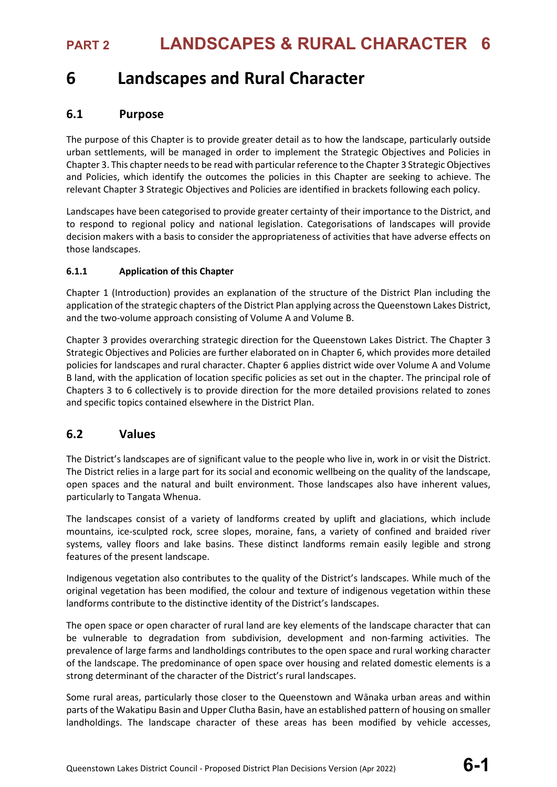# **6 Landscapes and Rural Character**

## **6.1 Purpose**

The purpose of this Chapter is to provide greater detail as to how the landscape, particularly outside urban settlements, will be managed in order to implement the Strategic Objectives and Policies in Chapter 3. This chapter needs to be read with particular reference to the Chapter 3 Strategic Objectives and Policies, which identify the outcomes the policies in this Chapter are seeking to achieve. The relevant Chapter 3 Strategic Objectives and Policies are identified in brackets following each policy.

Landscapes have been categorised to provide greater certainty of their importance to the District, and to respond to regional policy and national legislation. Categorisations of landscapes will provide decision makers with a basis to consider the appropriateness of activities that have adverse effects on those landscapes.

### **6.1.1 Application of this Chapter**

Chapter 1 (Introduction) provides an explanation of the structure of the District Plan including the application of the strategic chapters of the District Plan applying across the Queenstown Lakes District, and the two-volume approach consisting of Volume A and Volume B.

Chapter 3 provides overarching strategic direction for the Queenstown Lakes District. The Chapter 3 Strategic Objectives and Policies are further elaborated on in Chapter 6, which provides more detailed policies for landscapes and rural character. Chapter 6 applies district wide over Volume A and Volume B land, with the application of location specific policies as set out in the chapter. The principal role of Chapters 3 to 6 collectively is to provide direction for the more detailed provisions related to zones and specific topics contained elsewhere in the District Plan.

## **6.2 Values**

The District's landscapes are of significant value to the people who live in, work in or visit the District. The District relies in a large part for its social and economic wellbeing on the quality of the landscape, open spaces and the natural and built environment. Those landscapes also have inherent values, particularly to Tangata Whenua.

The landscapes consist of a variety of landforms created by uplift and glaciations, which include mountains, ice-sculpted rock, scree slopes, moraine, fans, a variety of confined and braided river systems, valley floors and lake basins. These distinct landforms remain easily legible and strong features of the present landscape.

Indigenous vegetation also contributes to the quality of the District's landscapes. While much of the original vegetation has been modified, the colour and texture of indigenous vegetation within these landforms contribute to the distinctive identity of the District's landscapes.

The open space or open character of rural land are key elements of the landscape character that can be vulnerable to degradation from subdivision, development and non-farming activities. The prevalence of large farms and landholdings contributes to the open space and rural working character of the landscape. The predominance of open space over housing and related domestic elements is a strong determinant of the character of the District's rural landscapes.

Some rural areas, particularly those closer to the Queenstown and Wānaka urban areas and within parts of the Wakatipu Basin and Upper Clutha Basin, have an established pattern of housing on smaller landholdings. The landscape character of these areas has been modified by vehicle accesses,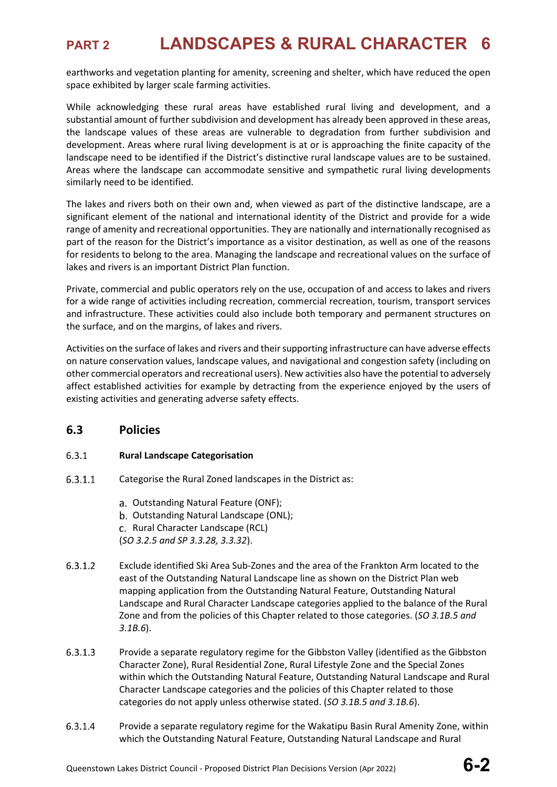earthworks and vegetation planting for amenity, screening and shelter, which have reduced the open space exhibited by larger scale farming activities.

While acknowledging these rural areas have established rural living and development, and a substantial amount of further subdivision and development has already been approved in these areas, the landscape values of these areas are vulnerable to degradation from further subdivision and development. Areas where rural living development is at or is approaching the finite capacity of the landscape need to be identified if the District's distinctive rural landscape values are to be sustained. Areas where the landscape can accommodate sensitive and sympathetic rural living developments similarly need to be identified.

The lakes and rivers both on their own and, when viewed as part of the distinctive landscape, are a significant element of the national and international identity of the District and provide for a wide range of amenity and recreational opportunities. They are nationally and internationally recognised as part of the reason for the District's importance as a visitor destination, as well as one of the reasons for residents to belong to the area. Managing the landscape and recreational values on the surface of lakes and rivers is an important District Plan function.

Private, commercial and public operators rely on the use, occupation of and access to lakes and rivers for a wide range of activities including recreation, commercial recreation, tourism, transport services and infrastructure. These activities could also include both temporary and permanent structures on the surface, and on the margins, of lakes and rivers.

Activities on the surface of lakes and rivers and their supporting infrastructure can have adverse effects on nature conservation values, landscape values, and navigational and congestion safety (including on other commercial operators and recreational users). New activities also have the potential to adversely affect established activities for example by detracting from the experience enjoyed by the users of existing activities and generating adverse safety effects.

## **6.3 Policies**

### $6.3.1$ **Rural Landscape Categorisation**

- $6.3.1.1$ Categorise the Rural Zoned landscapes in the District as:
	- a. Outstanding Natural Feature (ONF);
	- b. Outstanding Natural Landscape (ONL);
	- c. Rural Character Landscape (RCL)
	- (*SO 3.2.5 and SP 3.3.28, 3.3.32*).
- $6.3.1.2$ Exclude identified Ski Area Sub-Zones and the area of the Frankton Arm located to the east of the Outstanding Natural Landscape line as shown on the District Plan web mapping application from the Outstanding Natural Feature, Outstanding Natural Landscape and Rural Character Landscape categories applied to the balance of the Rural Zone and from the policies of this Chapter related to those categories. (*SO 3.1B.5 and 3.1B.6*).
- $6.3.1.3$ Provide a separate regulatory regime for the Gibbston Valley (identified as the Gibbston Character Zone), Rural Residential Zone, Rural Lifestyle Zone and the Special Zones within which the Outstanding Natural Feature, Outstanding Natural Landscape and Rural Character Landscape categories and the policies of this Chapter related to those categories do not apply unless otherwise stated. (*SO 3.1B.5 and 3.1B.6*).
- 6.3.1.4 Provide a separate regulatory regime for the Wakatipu Basin Rural Amenity Zone, within which the Outstanding Natural Feature, Outstanding Natural Landscape and Rural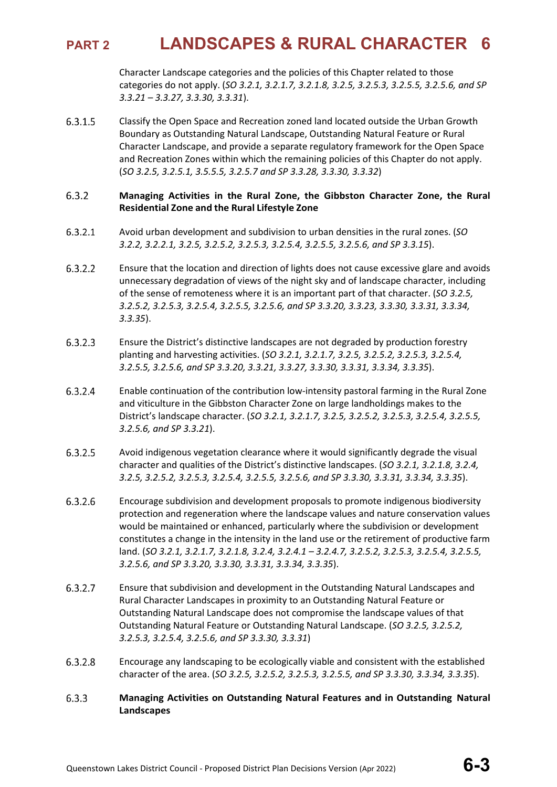Character Landscape categories and the policies of this Chapter related to those categories do not apply. (*SO 3.2.1, 3.2.1.7, 3.2.1.8, 3.2.5, 3.2.5.3, 3.2.5.5, 3.2.5.6, and SP 3.3.21 – 3.3.27, 3.3.30, 3.3.31*).

6.3.1.5 Classify the Open Space and Recreation zoned land located outside the Urban Growth Boundary as Outstanding Natural Landscape, Outstanding Natural Feature or Rural Character Landscape, and provide a separate regulatory framework for the Open Space and Recreation Zones within which the remaining policies of this Chapter do not apply. (*SO 3.2.5, 3.2.5.1, 3.5.5.5, 3.2.5.7 and SP 3.3.28, 3.3.30, 3.3.32*)

### $6.3.2$ **Managing Activities in the Rural Zone, the Gibbston Character Zone, the Rural Residential Zone and the Rural Lifestyle Zone**

- $6.3.2.1$ Avoid urban development and subdivision to urban densities in the rural zones. (*SO 3.2.2, 3.2.2.1, 3.2.5, 3.2.5.2, 3.2.5.3, 3.2.5.4, 3.2.5.5, 3.2.5.6, and SP 3.3.15*).
- $6.3.2.2$ Ensure that the location and direction of lights does not cause excessive glare and avoids unnecessary degradation of views of the night sky and of landscape character, including of the sense of remoteness where it is an important part of that character. (*SO 3.2.5, 3.2.5.2, 3.2.5.3, 3.2.5.4, 3.2.5.5, 3.2.5.6, and SP 3.3.20, 3.3.23, 3.3.30, 3.3.31, 3.3.34, 3.3.35*).
- $6.3.2.3$ Ensure the District's distinctive landscapes are not degraded by production forestry planting and harvesting activities. (*SO 3.2.1, 3.2.1.7, 3.2.5, 3.2.5.2, 3.2.5.3, 3.2.5.4, 3.2.5.5, 3.2.5.6, and SP 3.3.20, 3.3.21, 3.3.27, 3.3.30, 3.3.31, 3.3.34, 3.3.35*).
- 6.3.2.4 Enable continuation of the contribution low-intensity pastoral farming in the Rural Zone and viticulture in the Gibbston Character Zone on large landholdings makes to the District's landscape character. (*SO 3.2.1, 3.2.1.7, 3.2.5, 3.2.5.2, 3.2.5.3, 3.2.5.4, 3.2.5.5, 3.2.5.6, and SP 3.3.21*).
- Avoid indigenous vegetation clearance where it would significantly degrade the visual 6.3.2.5 character and qualities of the District's distinctive landscapes. (*SO 3.2.1, 3.2.1.8, 3.2.4, 3.2.5, 3.2.5.2, 3.2.5.3, 3.2.5.4, 3.2.5.5, 3.2.5.6, and SP 3.3.30, 3.3.31, 3.3.34, 3.3.35*).
- 6.3.2.6 Encourage subdivision and development proposals to promote indigenous biodiversity protection and regeneration where the landscape values and nature conservation values would be maintained or enhanced, particularly where the subdivision or development constitutes a change in the intensity in the land use or the retirement of productive farm land. (*SO 3.2.1, 3.2.1.7, 3.2.1.8, 3.2.4, 3.2.4.1 – 3.2.4.7, 3.2.5.2, 3.2.5.3, 3.2.5.4, 3.2.5.5, 3.2.5.6, and SP 3.3.20, 3.3.30, 3.3.31, 3.3.34, 3.3.35*).
- $6.3.2.7$ Ensure that subdivision and development in the Outstanding Natural Landscapes and Rural Character Landscapes in proximity to an Outstanding Natural Feature or Outstanding Natural Landscape does not compromise the landscape values of that Outstanding Natural Feature or Outstanding Natural Landscape. (*SO 3.2.5, 3.2.5.2, 3.2.5.3, 3.2.5.4, 3.2.5.6, and SP 3.3.30, 3.3.31*)
- $6.3.2.8$ Encourage any landscaping to be ecologically viable and consistent with the established character of the area. (*SO 3.2.5, 3.2.5.2, 3.2.5.3, 3.2.5.5, and SP 3.3.30, 3.3.34, 3.3.35*).
- $6.3.3$ **Managing Activities on Outstanding Natural Features and in Outstanding Natural Landscapes**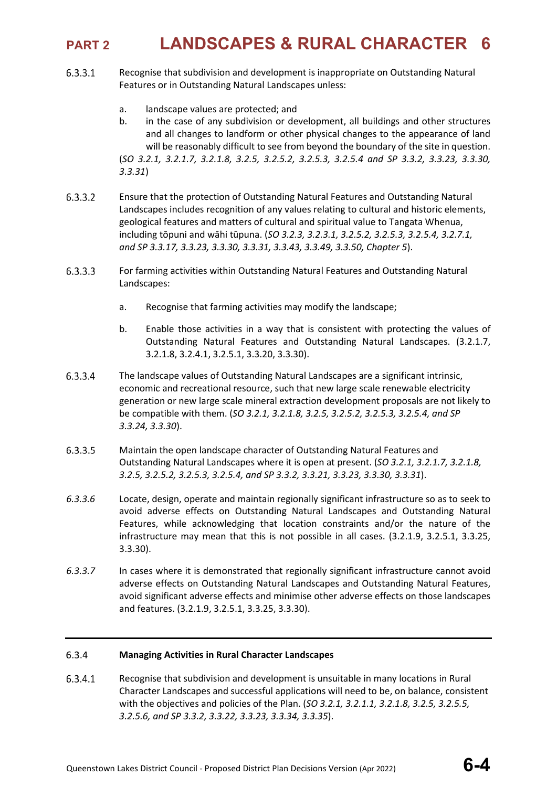- $6.3.3.1$ Recognise that subdivision and development is inappropriate on Outstanding Natural Features or in Outstanding Natural Landscapes unless:
	- a. landscape values are protected; and
	- b. in the case of any subdivision or development, all buildings and other structures and all changes to landform or other physical changes to the appearance of land will be reasonably difficult to see from beyond the boundary of the site in question. (*SO 3.2.1, 3.2.1.7, 3.2.1.8, 3.2.5, 3.2.5.2, 3.2.5.3, 3.2.5.4 and SP 3.3.2, 3.3.23, 3.3.30, 3.3.31*)
- 6.3.3.2 Ensure that the protection of Outstanding Natural Features and Outstanding Natural Landscapes includes recognition of any values relating to cultural and historic elements, geological features and matters of cultural and spiritual value to Tangata Whenua, including tōpuni and wāhi tūpuna. (*SO 3.2.3, 3.2.3.1, 3.2.5.2, 3.2.5.3, 3.2.5.4, 3.2.7.1, and SP 3.3.17, 3.3.23, 3.3.30, 3.3.31, 3.3.43, 3.3.49, 3.3.50, Chapter 5*).
- $6.3.3.3$ For farming activities within Outstanding Natural Features and Outstanding Natural Landscapes:
	- a. Recognise that farming activities may modify the landscape;
	- b. Enable those activities in a way that is consistent with protecting the values of Outstanding Natural Features and Outstanding Natural Landscapes. (3.2.1.7, 3.2.1.8, 3.2.4.1, 3.2.5.1, 3.3.20, 3.3.30).
- 6.3.3.4 The landscape values of Outstanding Natural Landscapes are a significant intrinsic, economic and recreational resource, such that new large scale renewable electricity generation or new large scale mineral extraction development proposals are not likely to be compatible with them. (*SO 3.2.1, 3.2.1.8, 3.2.5, 3.2.5.2, 3.2.5.3, 3.2.5.4, and SP 3.3.24, 3.3.30*).
- 6.3.3.5 Maintain the open landscape character of Outstanding Natural Features and Outstanding Natural Landscapes where it is open at present. (*SO 3.2.1, 3.2.1.7, 3.2.1.8, 3.2.5, 3.2.5.2, 3.2.5.3, 3.2.5.4, and SP 3.3.2, 3.3.21, 3.3.23, 3.3.30, 3.3.31*).
- *6.3.3.6* Locate, design, operate and maintain regionally significant infrastructure so as to seek to avoid adverse effects on Outstanding Natural Landscapes and Outstanding Natural Features, while acknowledging that location constraints and/or the nature of the infrastructure may mean that this is not possible in all cases. (3.2.1.9, 3.2.5.1, 3.3.25, 3.3.30).
- *6.3.3.7* In cases where it is demonstrated that regionally significant infrastructure cannot avoid adverse effects on Outstanding Natural Landscapes and Outstanding Natural Features, avoid significant adverse effects and minimise other adverse effects on those landscapes and features. (3.2.1.9, 3.2.5.1, 3.3.25, 3.3.30).

### 6.3.4 **Managing Activities in Rural Character Landscapes**

6.3.4.1 Recognise that subdivision and development is unsuitable in many locations in Rural Character Landscapes and successful applications will need to be, on balance, consistent with the objectives and policies of the Plan. (*SO 3.2.1, 3.2.1.1, 3.2.1.8, 3.2.5, 3.2.5.5, 3.2.5.6, and SP 3.3.2, 3.3.22, 3.3.23, 3.3.34, 3.3.35*).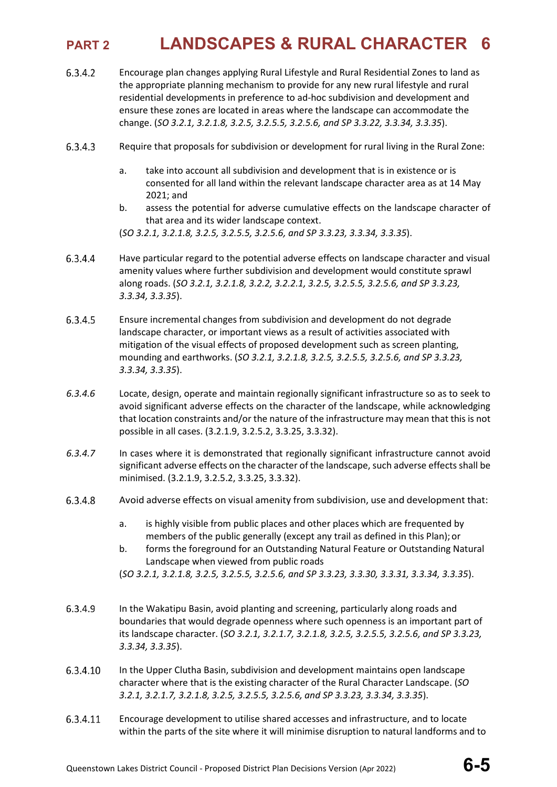- $6.3.4.2$ Encourage plan changes applying Rural Lifestyle and Rural Residential Zones to land as the appropriate planning mechanism to provide for any new rural lifestyle and rural residential developments in preference to ad-hoc subdivision and development and ensure these zones are located in areas where the landscape can accommodate the change. (*SO 3.2.1, 3.2.1.8, 3.2.5, 3.2.5.5, 3.2.5.6, and SP 3.3.22, 3.3.34, 3.3.35*).
- 6.3.4.3 Require that proposals for subdivision or development for rural living in the Rural Zone:
	- a. take into account all subdivision and development that is in existence or is consented for all land within the relevant landscape character area as at 14 May 2021; and
	- b. assess the potential for adverse cumulative effects on the landscape character of that area and its wider landscape context.

- 6.3.4.4 Have particular regard to the potential adverse effects on landscape character and visual amenity values where further subdivision and development would constitute sprawl along roads. (*SO 3.2.1, 3.2.1.8, 3.2.2, 3.2.2.1, 3.2.5, 3.2.5.5, 3.2.5.6, and SP 3.3.23, 3.3.34, 3.3.35*).
- 6.3.4.5 Ensure incremental changes from subdivision and development do not degrade landscape character, or important views as a result of activities associated with mitigation of the visual effects of proposed development such as screen planting, mounding and earthworks. (*SO 3.2.1, 3.2.1.8, 3.2.5, 3.2.5.5, 3.2.5.6, and SP 3.3.23, 3.3.34, 3.3.35*).
- *6.3.4.6* Locate, design, operate and maintain regionally significant infrastructure so as to seek to avoid significant adverse effects on the character of the landscape, while acknowledging that location constraints and/or the nature of the infrastructure may mean that this is not possible in all cases. (3.2.1.9, 3.2.5.2, 3.3.25, 3.3.32).
- *6.3.4.7* In cases where it is demonstrated that regionally significant infrastructure cannot avoid significant adverse effects on the character of the landscape, such adverse effects shall be minimised. (3.2.1.9, 3.2.5.2, 3.3.25, 3.3.32).
- 6.3.4.8 Avoid adverse effects on visual amenity from subdivision, use and development that:
	- a. is highly visible from public places and other places which are frequented by members of the public generally (except any trail as defined in this Plan);or
	- b. forms the foreground for an Outstanding Natural Feature or Outstanding Natural Landscape when viewed from public roads

(*SO 3.2.1, 3.2.1.8, 3.2.5, 3.2.5.5, 3.2.5.6, and SP 3.3.23, 3.3.30, 3.3.31, 3.3.34, 3.3.35*).

- 6.3.4.9 In the Wakatipu Basin, avoid planting and screening, particularly along roads and boundaries that would degrade openness where such openness is an important part of its landscape character. (*SO 3.2.1, 3.2.1.7, 3.2.1.8, 3.2.5, 3.2.5.5, 3.2.5.6, and SP 3.3.23, 3.3.34, 3.3.35*).
- 6.3.4.10 In the Upper Clutha Basin, subdivision and development maintains open landscape character where that is the existing character of the Rural Character Landscape. (*SO 3.2.1, 3.2.1.7, 3.2.1.8, 3.2.5, 3.2.5.5, 3.2.5.6, and SP 3.3.23, 3.3.34, 3.3.35*).
- 6.3.4.11 Encourage development to utilise shared accesses and infrastructure, and to locate within the parts of the site where it will minimise disruption to natural landforms and to

<sup>(</sup>*SO 3.2.1, 3.2.1.8, 3.2.5, 3.2.5.5, 3.2.5.6, and SP 3.3.23, 3.3.34, 3.3.35*).